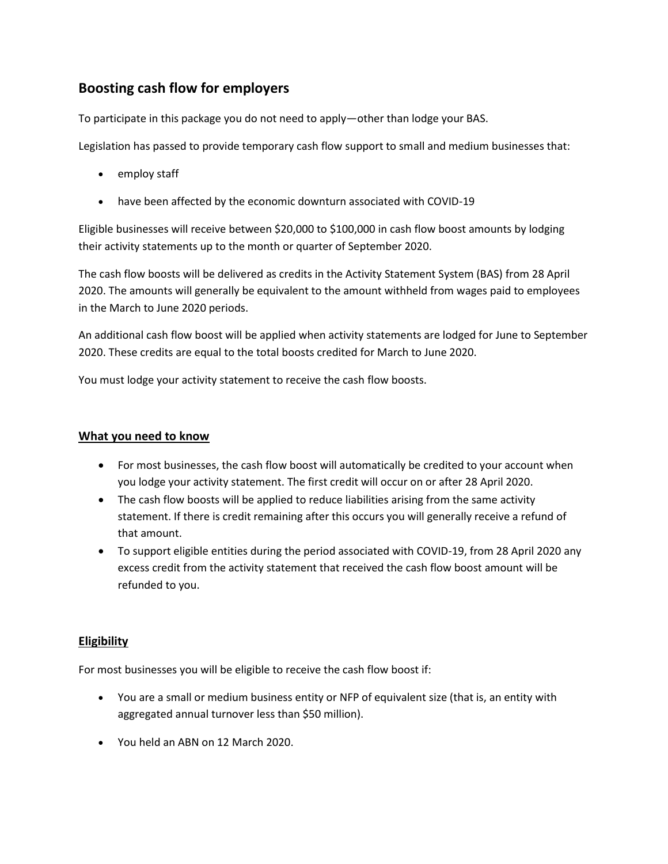# **Boosting cash flow for employers**

To participate in this package you do not need to apply—other than lodge your BAS.

Legislation has passed to provide temporary cash flow support to small and medium businesses that:

- employ staff
- have been affected by the economic downturn associated with COVID-19

Eligible businesses will receive between \$20,000 to \$100,000 in cash flow boost amounts by lodging their activity statements up to the month or quarter of September 2020.

The cash flow boosts will be delivered as credits in the Activity Statement System (BAS) from 28 April 2020. The amounts will generally be equivalent to the amount withheld from wages paid to employees in the March to June 2020 periods.

An additional cash flow boost will be applied when activity statements are lodged for June to September 2020. These credits are equal to the total boosts credited for March to June 2020.

You must lodge your activity statement to receive the cash flow boosts.

## **What you need to know**

- For most businesses, the cash flow boost will automatically be credited to your account when you lodge your activity statement. The first credit will occur on or after 28 April 2020.
- The cash flow boosts will be applied to reduce liabilities arising from the same activity statement. If there is credit remaining after this occurs you will generally receive a refund of that amount.
- To support eligible entities during the period associated with COVID-19, from 28 April 2020 any excess credit from the activity statement that received the cash flow boost amount will be refunded to you.

## **Eligibility**

For most businesses you will be eligible to receive the cash flow boost if:

- You are a small or medium business entity or NFP of equivalent size (that is, an entity with aggregated annual turnover less than \$50 million).
- You held an ABN on 12 March 2020.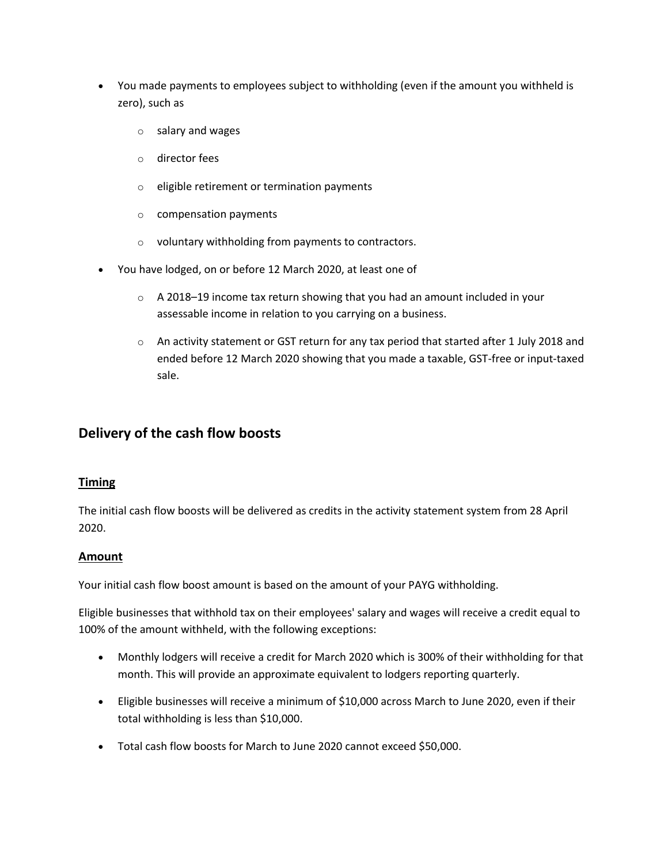- You made payments to employees subject to withholding (even if the amount you withheld is zero), such as
	- o salary and wages
	- o director fees
	- o eligible retirement or termination payments
	- o compensation payments
	- o voluntary withholding from payments to contractors.
- You have lodged, on or before 12 March 2020, at least one of
	- $\circ$  A 2018–19 income tax return showing that you had an amount included in your assessable income in relation to you carrying on a business.
	- $\circ$  An activity statement or GST return for any tax period that started after 1 July 2018 and ended before 12 March 2020 showing that you made a taxable, GST-free or input-taxed sale.

## **Delivery of the cash flow boosts**

#### **Timing**

The initial cash flow boosts will be delivered as credits in the activity statement system from 28 April 2020.

#### **Amount**

Your initial cash flow boost amount is based on the amount of your PAYG withholding.

Eligible businesses that withhold tax on their employees' salary and wages will receive a credit equal to 100% of the amount withheld, with the following exceptions:

- Monthly lodgers will receive a credit for March 2020 which is 300% of their withholding for that month. This will provide an approximate equivalent to lodgers reporting quarterly.
- Eligible businesses will receive a minimum of \$10,000 across March to June 2020, even if their total withholding is less than \$10,000.
- Total cash flow boosts for March to June 2020 cannot exceed \$50,000.